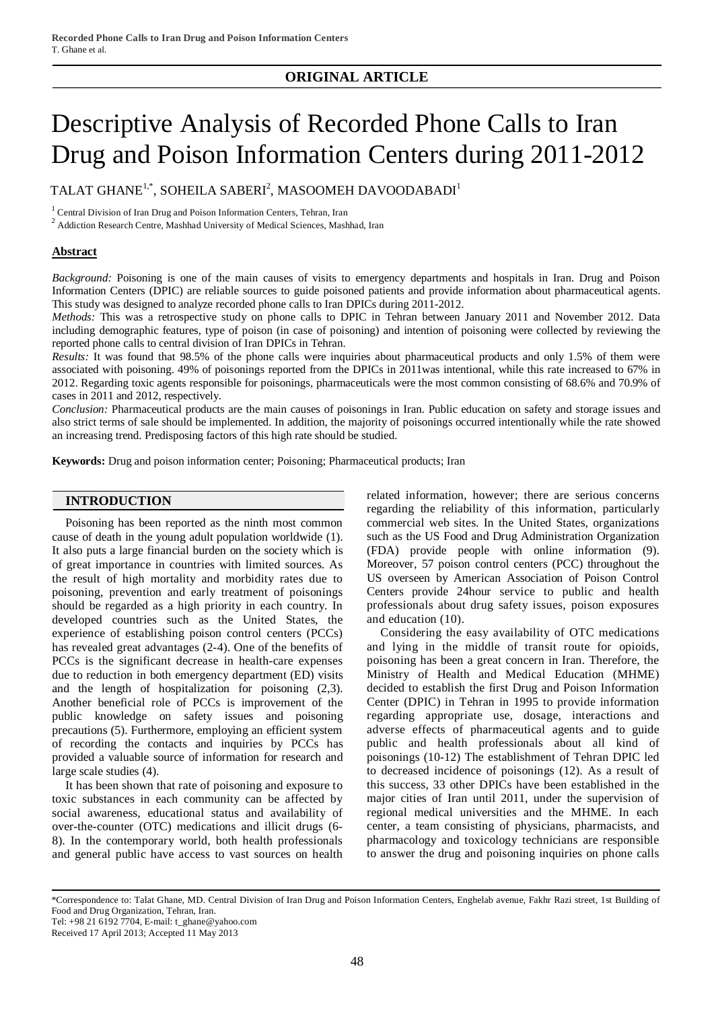# **ORIGINAL ARTICLE**

# Descriptive Analysis of Recorded Phone Calls to Iran Drug and Poison Information Centers during 2011-2012

TALAT GHANE $^{1,*}$ , SOHEILA SABERI $^2$ , MASOOMEH DAVOODABADI $^1$ 

<sup>1</sup> Central Division of Iran Drug and Poison Information Centers, Tehran, Iran

 $2$  Addiction Research Centre, Mashhad University of Medical Sciences, Mashhad, Iran

#### **Abstract**

*Background:* Poisoning is one of the main causes of visits to emergency departments and hospitals in Iran. Drug and Poison Information Centers (DPIC) are reliable sources to guide poisoned patients and provide information about pharmaceutical agents. This study was designed to analyze recorded phone calls to Iran DPICs during 2011-2012.

*Methods:* This was a retrospective study on phone calls to DPIC in Tehran between January 2011 and November 2012. Data including demographic features, type of poison (in case of poisoning) and intention of poisoning were collected by reviewing the reported phone calls to central division of Iran DPICs in Tehran.

*Results:* It was found that 98.5% of the phone calls were inquiries about pharmaceutical products and only 1.5% of them were associated with poisoning. 49% of poisonings reported from the DPICs in 2011was intentional, while this rate increased to 67% in 2012. Regarding toxic agents responsible for poisonings, pharmaceuticals were the most common consisting of 68.6% and 70.9% of cases in 2011 and 2012, respectively.

*Conclusion:* Pharmaceutical products are the main causes of poisonings in Iran. Public education on safety and storage issues and also strict terms of sale should be implemented. In addition, the majority of poisonings occurred intentionally while the rate showed an increasing trend. Predisposing factors of this high rate should be studied.

**Keywords:** Drug and poison information center; Poisoning; Pharmaceutical products; Iran

#### **INTRODUCTION**

Poisoning has been reported as the ninth most common cause of death in the young adult population worldwide (1). It also puts a large financial burden on the society which is of great importance in countries with limited sources. As the result of high mortality and morbidity rates due to poisoning, prevention and early treatment of poisonings should be regarded as a high priority in each country. In developed countries such as the United States, the experience of establishing poison control centers (PCCs) has revealed great advantages (2-4). One of the benefits of PCCs is the significant decrease in health-care expenses due to reduction in both emergency department (ED) visits and the length of hospitalization for poisoning (2,3). Another beneficial role of PCCs is improvement of the public knowledge on safety issues and poisoning precautions (5). Furthermore, employing an efficient system of recording the contacts and inquiries by PCCs has provided a valuable source of information for research and large scale studies (4).

It has been shown that rate of poisoning and exposure to toxic substances in each community can be affected by social awareness, educational status and availability of over-the-counter (OTC) medications and illicit drugs (6- 8). In the contemporary world, both health professionals and general public have access to vast sources on health

related information, however; there are serious concerns regarding the reliability of this information, particularly commercial web sites. In the United States, organizations such as the US Food and Drug Administration Organization (FDA) provide people with online information (9). Moreover, 57 poison control centers (PCC) throughout the US overseen by American Association of Poison Control Centers provide 24hour service to public and health professionals about drug safety issues, poison exposures and education (10).

Considering the easy availability of OTC medications and lying in the middle of transit route for opioids, poisoning has been a great concern in Iran. Therefore, the Ministry of Health and Medical Education (MHME) decided to establish the first Drug and Poison Information Center (DPIC) in Tehran in 1995 to provide information regarding appropriate use, dosage, interactions and adverse effects of pharmaceutical agents and to guide public and health professionals about all kind of poisonings (10-12) The establishment of Tehran DPIC led to decreased incidence of poisonings (12). As a result of this success, 33 other DPICs have been established in the major cities of Iran until 2011, under the supervision of regional medical universities and the MHME. In each center, a team consisting of physicians, pharmacists, and pharmacology and toxicology technicians are responsible to answer the drug and poisoning inquiries on phone calls

Tel: +98 21 6192 7704, E-mail: [t\\_ghane@yahoo.com](mailto:t_ghane@yahoo.com)

Received 17 April 2013; Accepted 11 May 2013

<sup>\*</sup>Correspondence to: Talat Ghane, MD. Central Division of Iran Drug and Poison Information Centers, Enghelab avenue, Fakhr Razi street, 1st Building of Food and Drug Organization, Tehran, Iran.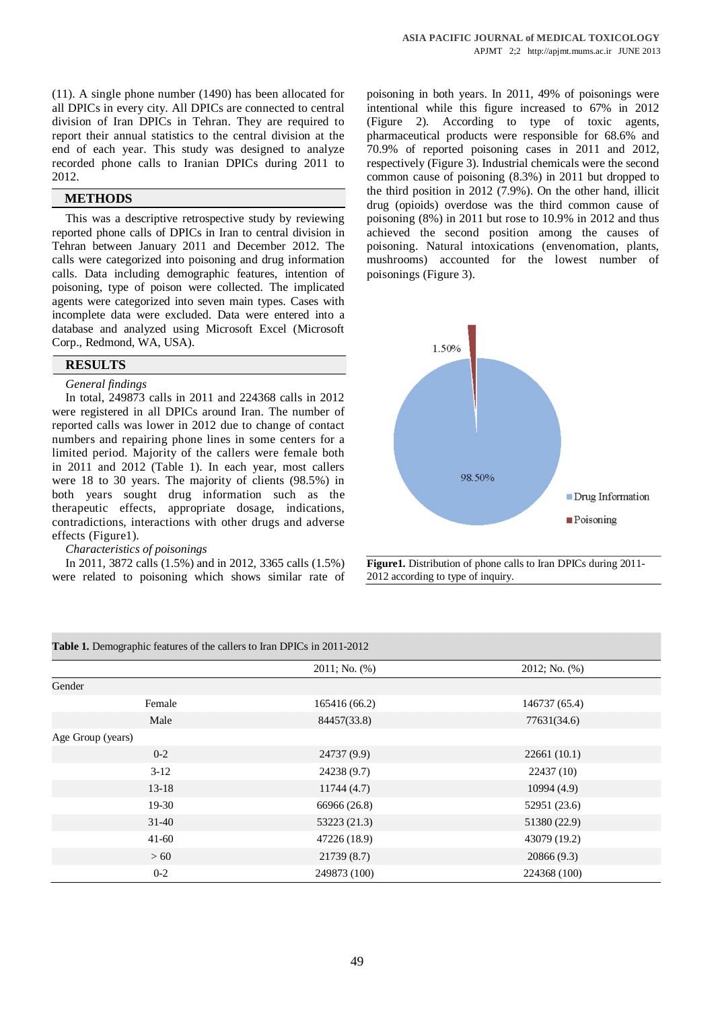(11). A single phone number (1490) has been allocated for all DPICs in every city. All DPICs are connected to central division of Iran DPICs in Tehran. They are required to report their annual statistics to the central division at the end of each year. This study was designed to analyze recorded phone calls to Iranian DPICs during 2011 to 2012.

## **METHODS**

This was a descriptive retrospective study by reviewing reported phone calls of DPICs in Iran to central division in Tehran between January 2011 and December 2012. The calls were categorized into poisoning and drug information calls. Data including demographic features, intention of poisoning, type of poison were collected. The implicated agents were categorized into seven main types. Cases with incomplete data were excluded. Data were entered into a database and analyzed using Microsoft Excel (Microsoft Corp., Redmond, WA, USA).

# **RESULTS**

#### *General findings*

In total, 249873 calls in 2011 and 224368 calls in 2012 were registered in all DPICs around Iran. The number of reported calls was lower in 2012 due to change of contact numbers and repairing phone lines in some centers for a limited period. Majority of the callers were female both in 2011 and 2012 (Table 1). In each year, most callers were 18 to 30 years. The majority of clients (98.5%) in both years sought drug information such as the therapeutic effects, appropriate dosage, indications, contradictions, interactions with other drugs and adverse effects (Figure1).

#### *Characteristics of poisonings*

In 2011, 3872 calls (1.5%) and in 2012, 3365 calls (1.5%) were related to poisoning which shows similar rate of poisoning in both years. In 2011, 49% of poisonings were intentional while this figure increased to 67% in 2012 (Figure 2). According to type of toxic agents, pharmaceutical products were responsible for 68.6% and 70.9% of reported poisoning cases in 2011 and 2012, respectively (Figure 3). Industrial chemicals were the second common cause of poisoning (8.3%) in 2011 but dropped to the third position in 2012 (7.9%). On the other hand, illicit drug (opioids) overdose was the third common cause of poisoning (8%) in 2011 but rose to 10.9% in 2012 and thus achieved the second position among the causes of poisoning. Natural intoxications (envenomation, plants, mushrooms) accounted for the lowest number of poisonings (Figure 3).



**Figure1.** Distribution of phone calls to Iran DPICs during 2011- 2012 according to type of inquiry.

| <b>Table 1.</b> Demographic features of the callers to Iran DPICs in 2011-2012 |                    |               |
|--------------------------------------------------------------------------------|--------------------|---------------|
|                                                                                | $2011;$ No. $(\%)$ | 2012; No. (%) |
| Gender                                                                         |                    |               |
| Female                                                                         | 165416 (66.2)      | 146737 (65.4) |
| Male                                                                           | 84457(33.8)        | 77631(34.6)   |
| Age Group (years)                                                              |                    |               |
| $0 - 2$                                                                        | 24737 (9.9)        | 22661(10.1)   |
| $3-12$                                                                         | 24238 (9.7)        | 22437 (10)    |
| $13-18$                                                                        | 11744(4.7)         | 10994(4.9)    |
| $19-30$                                                                        | 66966 (26.8)       | 52951 (23.6)  |
| $31-40$                                                                        | 53223 (21.3)       | 51380 (22.9)  |
| $41 - 60$                                                                      | 47226 (18.9)       | 43079 (19.2)  |
| >60                                                                            | 21739(8.7)         | 20866(9.3)    |
| $0 - 2$                                                                        | 249873 (100)       | 224368 (100)  |

**Table 1.** Demographic features of the callers to Iran DPICs in 2011-2012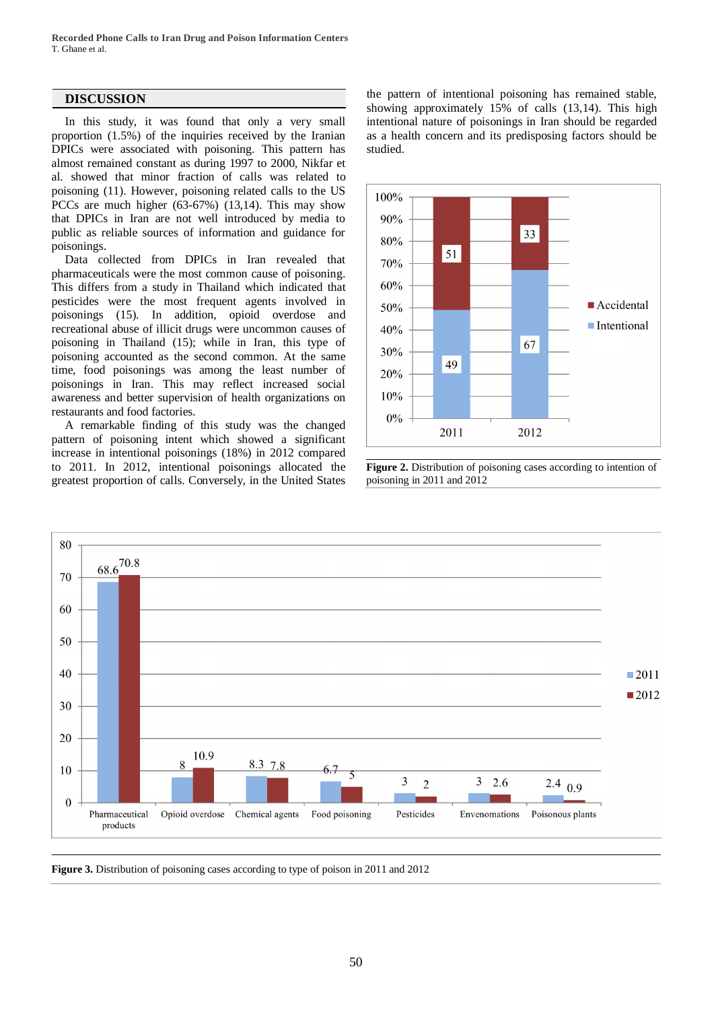**Recorded Phone Calls to Iran Drug and Poison Information Centers** T. Ghane et al.

# **DISCUSSION**

In this study, it was found that only a very small proportion (1.5%) of the inquiries received by the Iranian DPICs were associated with poisoning. This pattern has almost remained constant as during 1997 to 2000, Nikfar et al. showed that minor fraction of calls was related to poisoning (11). However, poisoning related calls to the US PCCs are much higher (63-67%) (13,14). This may show that DPICs in Iran are not well introduced by media to public as reliable sources of information and guidance for poisonings.

Data collected from DPICs in Iran revealed that pharmaceuticals were the most common cause of poisoning. This differs from a study in Thailand which indicated that pesticides were the most frequent agents involved in poisonings (15). In addition, opioid overdose and recreational abuse of illicit drugs were uncommon causes of poisoning in Thailand (15); while in Iran, this type of poisoning accounted as the second common. At the same time, food poisonings was among the least number of poisonings in Iran. This may reflect increased social awareness and better supervision of health organizations on restaurants and food factories.

A remarkable finding of this study was the changed pattern of poisoning intent which showed a significant increase in intentional poisonings (18%) in 2012 compared to 2011. In 2012, intentional poisonings allocated the greatest proportion of calls. Conversely, in the United States

the pattern of intentional poisoning has remained stable, showing approximately 15% of calls (13,14). This high intentional nature of poisonings in Iran should be regarded as a health concern and its predisposing factors should be studied.



**Figure 2.** Distribution of poisoning cases according to intention of poisoning in 2011 and 2012



**Figure 3.** Distribution of poisoning cases according to type of poison in 2011 and 2012